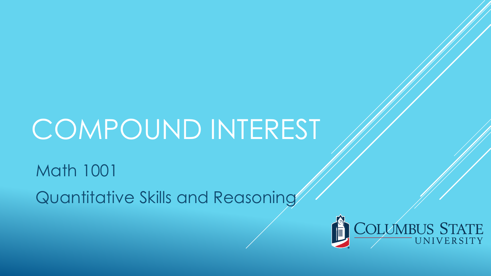Math 1001 Quantitative Skills and Reasoning

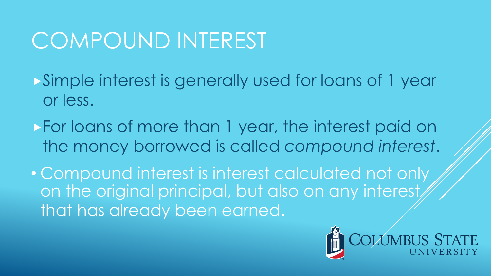Simple interest is generally used for loans of 1 year or less.

For loans of more than 1 year, the interest paid on the money borrowed is called *compound interest*.

• Compound interest is interest calculated not only on the original principal, but also on any interest that has already been earned.

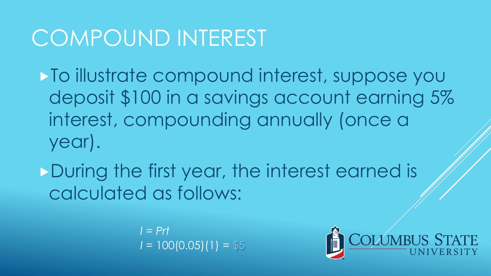To illustrate compound interest, suppose you deposit \$100 in a savings account earning 5% interest, compounding annually (once a year).

During the first year, the interest earned is calculated as follows:

> *I = Prt*  $I = 100(0.05)(1) = $5$

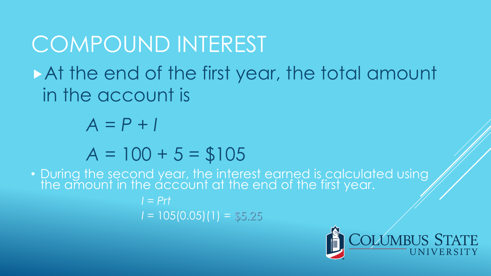### COMPOUND INTEREST At the end of the first year, the total amount in the account is *A = P + I*

#### $A = 100 + 5 = $105$

• During the second year, the interest earned is calculated using the amount in the account at the end of the first year.

> *I = Prt I =* 105(0.05)(1) = \$5.25

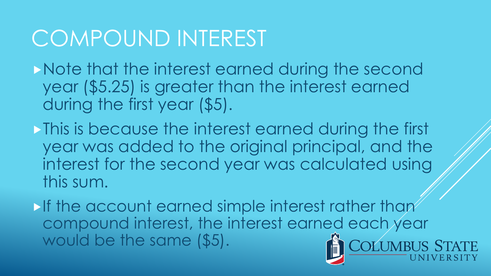Note that the interest earned during the second year (\$5.25) is greater than the interest earned during the first year (\$5).

**This is because the interest earned during the first** year was added to the original principal, and the interest for the second year was calculated using this sum.

**If the account earned simple interest rather than** compound interest, the interest earned each year would be the same (\$5).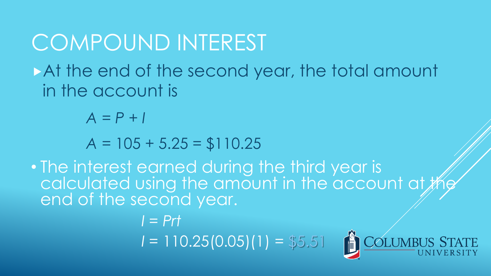At the end of the second year, the total amount in the account is

*A = P + I*

*A =* 105 + 5.25 = \$110.25

• The interest earned during the third year is calculated using the amount in the account at  $#$ end of the second year.

> *I = Prt I =* 110.25(0.05)(1) = \$5.51

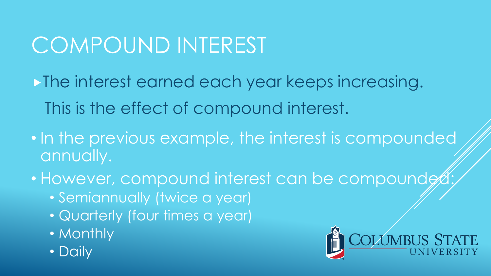**The interest earned each year keeps increasing.** This is the effect of compound interest.

- In the previous example, the interest is compounded annually.
- However, compound interest can be compounded
	- Semiannually (twice a year)
	- Quarterly (four times a year)
	- Monthly
	- Daily

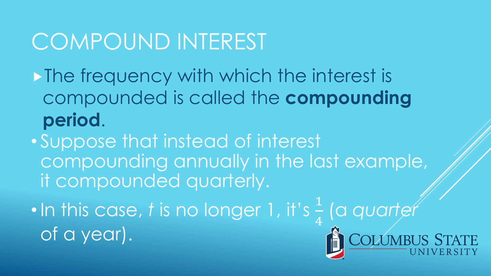- $\triangleright$  The frequency with which the interest is compounded is called the **compounding period**.
- Suppose that instead of interest compounding annually in the last example, it compounded quarterly.
- In this case, *t* is no longer 1, it's  $\frac{1}{4}$  (a *quarter* of a year).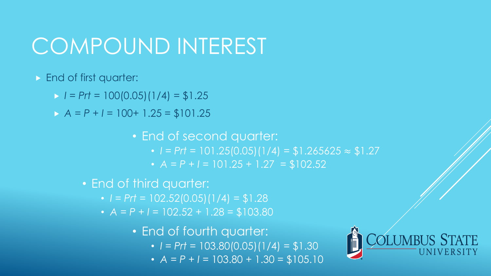- **End of first quarter:** 
	- $I = Prt = 100(0.05)(1/4) = $1.25$
	- $A = P + I = 100 + 1.25 = $101.25$

• End of second quarter: •  $I = Prt = 101.25(0.05)(1/4) = $1.265625 \approx $1.27$ •  $A = P + I = 101.25 + 1.27 = $102.52$ 

- End of third quarter:
	- $\cdot$  *I* = *Prt* = 102.52(0.05)(1/4) = \$1.28
	- $A = P + I = 102.52 + 1.28 = $103.80$

• End of fourth quarter:  $\cdot$  *I* = *Prt* = 103.80(0.05)(1/4) = \$1.30

•  $A = P + I = 103.80 + 1.30 = $105.10$ 

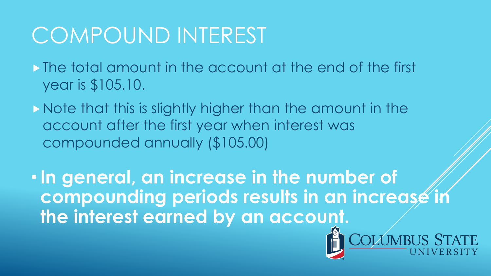The total amount in the account at the end of the first year is \$105.10.

Note that this is slightly higher than the amount in the account after the first year when interest was compounded annually (\$105.00)

•**In general, an increase in the number of compounding periods results in an increase in the interest earned by an account.**

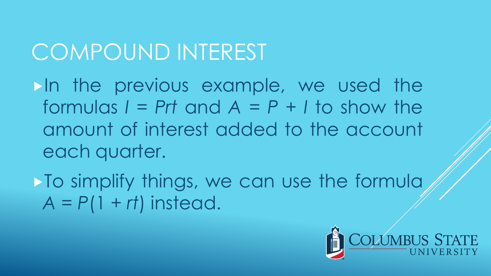In the previous example, we used the formulas  $I = Prt$  and  $A = P + I$  to show the amount of interest added to the account each quarter.

 $\triangleright$  To simplify things, we can use the formula  $A = P(1 + rt)$  instead.

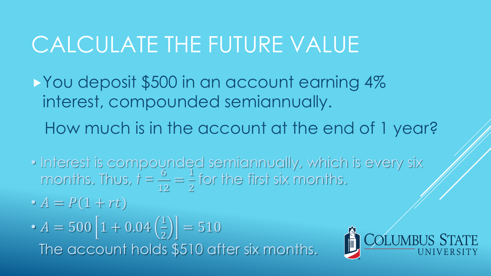#### CALCULATE THE FUTURE VALUE

- You deposit \$500 in an account earning 4% interest, compounded semiannually.
	- How much is in the account at the end of 1 year?
- Interest is compounded semiannually, which is every six months. Thus,  $\dot{t} = \frac{6}{15}$ 12 =  $\overline{1}$ 2 for the first six months.
- $\bullet$   $\overline{A} = \overline{P(1 + rt)}$
- $A = 500 | 1 + 0.04 \left( \frac{1}{2} \right)$ 2  $= 510$ The account holds \$510 after six months.

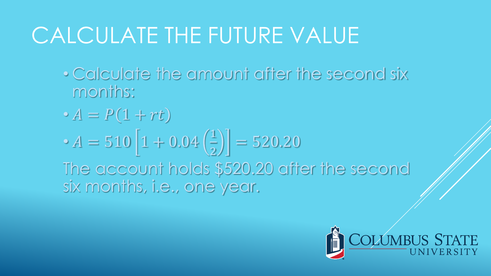## CALCULATE THE FUTURE VALUE

- Calculate the amount after the second six months:
- $\bullet A = P(1 + rt)$
- $A = 510 \left| 1 + 0.04 \right|_2^1$ 2  $= 520.20$

The account holds \$520.20 after the second six months, i.e., one year.

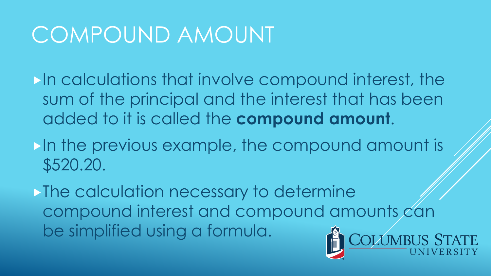In calculations that involve compound interest, the sum of the principal and the interest that has been added to it is called the **compound amount**.

In the previous example, the compound amount is \$520.20.

**The calculation necessary to determine** compound interest and compound amounts can be simplified using a formula.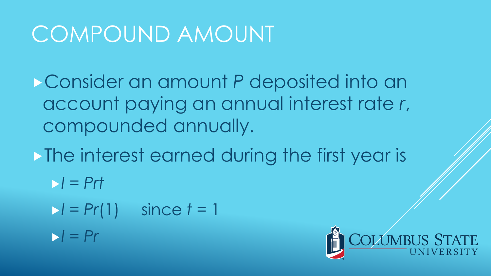Consider an amount *P* deposited into an account paying an annual interest rate *r*, compounded annually.

• The interest earned during the first year is

- $I = Prt$
- *I = Pr*(1) since *t* = 1  $I = Pr$

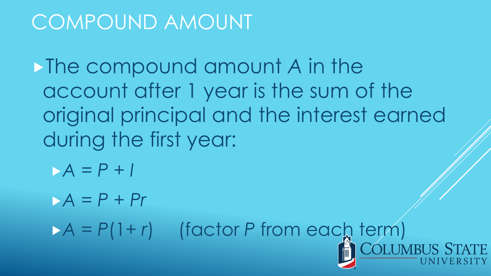The compound amount *A* in the account after 1 year is the sum of the original principal and the interest earned during the first year:

*A = P + I*

*A = P + Pr*

 $A = P(1+r)$  (factor *P* from each term)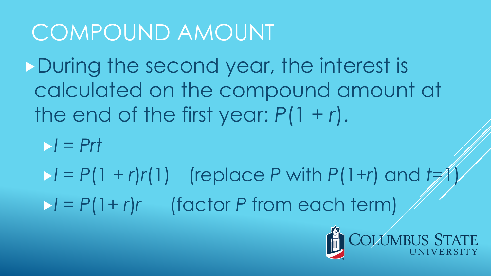During the second year, the interest is calculated on the compound amount at the end of the first year: *P*(1 + *r*).

 $I = Prt$ 

 $I = P(1 + r)r(1)$  (replace *P* with  $P(1+r)$  and  $t=1$ *I = P*(1+ *r*)*r* (factor *P* from each term)

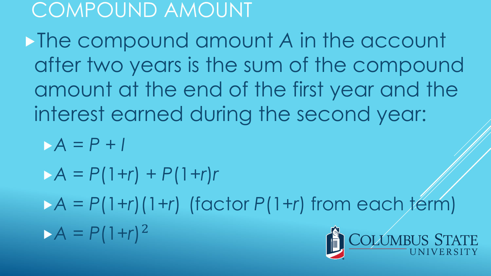The compound amount *A* in the account after two years is the sum of the compound amount at the end of the first year and the interest earned during the second year:

*A = P + I*

 $A = P(1+r) + P(1+r)r$ 

 $A = P(1+r)(1+r)$  (factor  $P(1+r)$  from each term)

 $A = P(1+r)^2$ 

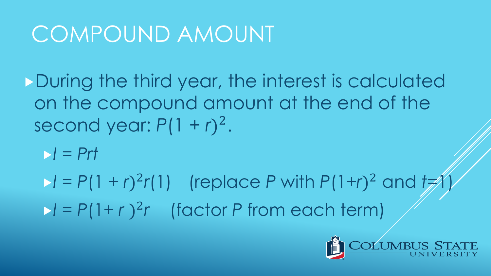During the third year, the interest is calculated on the compound amount at the end of the second year:  $P(1 + r)^2$ .

*I = Prt*

 $I = P(1 + r)^2 r(1)$  (replace *P* with  $P(1+r)^2$  and  $t \neq 1$  $I = P(1+r)^2r$  (factor *P* from each term)

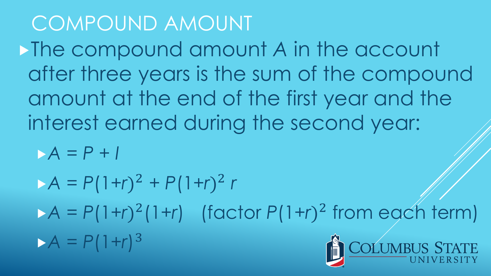The compound amount *A* in the account after three years is the sum of the compound amount at the end of the first year and the interest earned during the second year:

*A = P + I*

 $A = P(1+r)^2 + P(1+r)^2 r$ 

 $A = P(1+r)^2(1+r)$  (factor  $P(1+r)^2$  from each term)

 $A = P(1+r)^3$